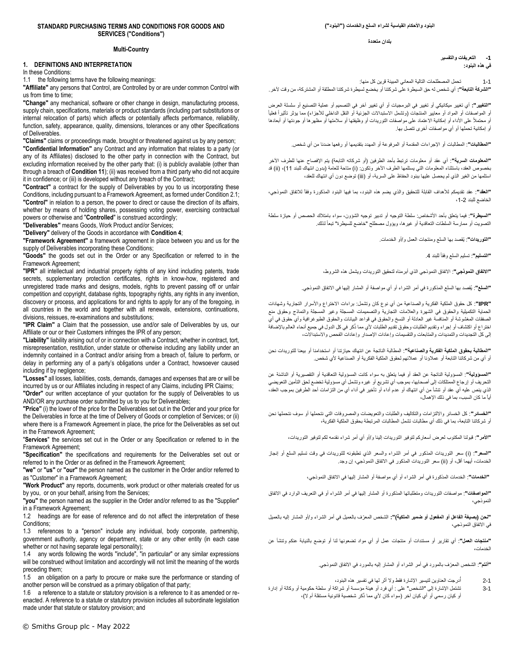#### **STANDARD PURCHASING TERMS AND CONDITIONS FOR GOODS AND SERVICES ("Conditions")**

### **Multi-Country**

# **1. DEFINITIONS AND INTERPRETATION**

In these Conditions:

1.1 the following terms have the following meanings:

**"Affiliate"** any persons that Control, are Controlled by or are under common Control with us from time to time;

**"Change"** any mechanical, software or other change in design, manufacturing process, supply chain, specifications, materials or product standards (including part substitutions or internal relocation of parts) which affects or potentially affects performance, reliability, function, safety, appearance, quality, dimensions, tolerances or any other Specifications of Deliverables.

**"Claims"** claims or proceedings made, brought or threatened against us by any person; **"Confidential Information"** any Contract and any information that relates to a party (or any of its Affiliates) disclosed to the other party in connection with the Contract, but excluding information received by the other party that: (i) is publicly available (other than through a breach of **Conditio[n 11](#page-4-0)**); (ii) was received from a third party who did not acquire it in confidence; or (iii) is developed without any breach of the Contract;

**"Contract"** a contract for the supply of Deliverables by you to us incorporating these Conditions, including pursuant to a Framework Agreement, as formed under Condition [2.1;](#page-1-0)  **"Control"** in relation to a person, the power to direct or cause the direction of its affairs, whether by means of holding shares, possessing voting power, exercising contractual powers or otherwise and "**Controlled**" is construed accordingly;

**"Deliverables"** means Goods, Work Product and/or Services;

**"Delivery"** delivery of the Goods in accordance with **Conditio[n 4](#page-1-1)**;

**"Framework Agreement"** a framework agreement in place between you and us for the supply of Deliverables incorporating these Conditions;

**"Goods"** the goods set out in the Order or any Specification or referred to in the Framework Agreement;

**"IPR"** all intellectual and industrial property rights of any kind including patents, trade secrets, supplementary protection certificates, rights in know-how, registered and unregistered trade marks and designs, models, rights to prevent passing off or unfair competition and copyright, database rights, topography rights, any rights in any invention, discovery or process, and applications for and rights to apply for any of the foregoing, in all countries in the world and together with all renewals, extensions, continuations, divisions, reissues, re-examinations and substitutions;

**"IPR Claim"** a Claim that the possession, use and/or sale of Deliverables by us, our Affiliate or our or their Customers infringes the IPR of any person;

**"Liability"** liability arising out of or in connection with a Contract, whether in contract, tort, misrepresentation, restitution, under statute or otherwise including any liability under an indemnity contained in a Contract and/or arising from a breach of, failure to perform, or delay in performing any of a party's obligations under a Contract, howsoever caused including if by negligence;

**"Losses"** all losses, liabilities, costs, demands, damages and expenses that are or will be incurred by us or our Affiliates including in respect of any Claims, including IPR Claims; **"Order"** our written acceptance of your quotation for the supply of Deliverables to us

AND/OR any purchase order submitted by us to you for Deliverables;

**"Price"** (i) the lower of the price for the Deliverables set out in the Order and your price for the Deliverables in force at the time of Delivery of Goods or completion of Services; or (ii) where there is a Framework Agreement in place, the price for the Deliverables as set out in the Framework Agreement;

"**Services**" the services set out in the Order or any Specification or referred to in the Framework Agreement;

**"Specification"** the specifications and requirements for the Deliverables set out or referred to in the Order or as defined in the Framework Agreement;

**"we"** or **"us"** or **"our"** the person named as the customer in the Order and/or referred to as "Customer" in a Framework Agreement;

**"Work Product"** any reports, documents, work product or other materials created for us by you, or on your behalf, arising from the Services;

**"you"** the person named as the supplier in the Order and/or referred to as the "Supplier" in a Framework Agreement;

1.2 headings are for ease of reference and do not affect the interpretation of these Conditions;

1.3 references to a "person" include any individual, body corporate, partnership, government authority, agency or department, state or any other entity (in each case whether or not having separate legal personality);

1.4 any words following the words "include", "in particular" or any similar expressions will be construed without limitation and accordingly will not limit the meaning of the words preceding them;

1.5 an obligation on a party to procure or make sure the performance or standing of another person will be construed as a primary obligation of that party;

1.6 a reference to a statute or statutory provision is a reference to it as amended or reenacted. A reference to a statute or statutory provision includes all subordinate legislation made under that statute or statutory provision; and

**البنود واألحكام القياسية لشراء السلع والخدمات )"البنود"(** 

**بلدان متعددة** 

**-1 التعريفات والتفسير في هذه البنود:** 

1-1 تحمل المصطلحات التالية المعاني المبينة قرين كل منها:

**"الشركة التابعة":** أي شخص له حق السيطرة على شركتنا أو يخضع لسيطرة شركتنا المطلقة أو المشتركة، من وقت آلخر.

**"التغيير":** أي تغيير ميكانيكي أو تغيير في البرمجيات أو أي تغيير آخر في التصميم أو عملية التصنيع أو سلسلة العرض او المواصفات أو المواد أو معايير المنتجات (وتشمل الاستبدالات الجزئية أو النقل الداخلي للأجزاء) مما يؤثر تأثيراً فعلياً أو محتمالً على األداء أو إمكانية االعتماد على مواصفات التوريدات أو وظيفتها أو سالمتها أو مظهرها أو جودتها أو أبعادها أو إمكانية تحملها أو أي مواصفات أخرى تتصل بها.

**"المطالبات"** : المطالبات أو اإلجراءات المقدمة أو المرفوعة أو المهدد بتقديمها أو رفعها ضدنا من أي شخص.

**"المعلومات السرية"** : أي عقد أو معلومات ترتبط بأحد الطرفين )أو شركاته التابعة( يتم اإلفصاح عنها للطرف اآلخر بخصوص العقد، باستثناء المعلومات التي يستلمها الطرف الآخر وتكون: (i) متاحة للعامة (بدون انتهاك للبند 11)، (ii) قد استلمها من الغير الذي لم يحصل عليها ببنود الحفاظ على السرية، أو )iii )توضع دون أي انتهاك للعقد،

**"العقد"** : عقد تقديمكم لألهداف القابلة للتحقيق والذي يضم هذه البنود، بما فيها البنود المذكورة وفقاً لالتفاق النموذجي، الخاضع للبند ،1-2

**"السيطرة"** : فيما يتعلق بأحد األشخاص: سلطة التوجيه أو تدبير توجيه الشؤون، سواء بامتالك الحصص أو حيازة سلطة التصويت أو ممارسة السلطات التعاقدية أو غيرها، ويؤول مصطلح "خاضع للسيطرة" تبعاً لذلك.

**"التوريدات"** : يُقصد بها السلع ومنتجات العمل و/أو الخدمات.

**"التسليم"** : تسليم السلع وفقاً للبند .4

**"االتفاق النموذجي"** : االتفاق النموذجي الذي أبرمناه لتحقيق التوريدات ويشمل هذه الشروط،

**"السلع"** : يُقصد بها السلع المذكورة في أمر الشراء أو أي مواصفة أو المشار إليها في االتفاق النموذجي.

**" IPR "**: كل حقوق الملكية الفكرية والصناعية من أي نوع كان وتشمل: براءات االختراع واألسرار التجارية وشهادات الحماية التكميلية والحقوق في الشهرة والعالمات التجارية والتصميمات المسجلة وغير المسجلة والنماذج وحقوق منع الصفقات المغشوشة أو المنافسة غير العادلة أو النسخ والحقوق في قواعد البيانات والحقوق الطبوغرافية وأي حقوق في أي اختراع أو اكتشاف أو إجراء وتقديم الطلبات وحقوق تقديم الطلبات ألي مما ذُكر في كل الدول في جميع أنحاء العالم باإلضافة إلى كل التجديدات والتمديدات والمتابعات والتقسيمات وإعادات الإصدار وإعادات الفحص والاستبدالات،

**"المطالبة بحقوق الملكية الفكرية والصناعية"** : المطالبة الناتجة عن انتهاك حيازتنا أو استخدامنا أو بيعنا للتوريدات نحن أو أي من شركاتنا التابعة أو عمالؤنا أو عمالئهم لحقوق الملكية الفكرية أو الصناعية ألي شخص.

**"المسؤولية"** : المسؤولية الناتجة عن العقد أو فيما يتعلق به سواء كانت المسؤولية التعاقدية أو التقصيرية أو الناشئة عن التحريف أو إرجاع الممتلكات إلى أصحابها، بموجب أي تشريع أو غيره وتشمل أي مسؤولية تخضع لحق التأمين التعويضي الذي ينص عليه أي عقد أو تنشأ من أي انتهاك أو عدم أداء أو تأخير في أداء أي من التزامات أحد الطرفين بموجب العقد، أياً ما كان السبب، بما في ذلك اإلهمال،

**"الخسائر"**: كل الخسائر وااللتزامات والتكاليف والطلبات والتعويضات والمصروفات التي نتحملها أو سوف نتحملها نحن أو شركاتنا التابعة، بما في ذلك أي مطالبات تشمل المطالبات المرتبطة بحقوق الملكية الفكرية،

**"األمر"** : قبولنا المكتوب لعرض أسعاركم لتوفير التوريدات إلينا و/أو أي أمر شراء نقدمه لكم لتوفير التوريدات،

**"السعر"**: )i )سعر التوريدات المذكور في أمر الشراء والسعر الذي تطبقونه للتوريدات في وقت تسليم السلع أو إنجاز الخدمات، أيهما أقل، أو (ii) سعر التوريدات المذكور في الاتفاق النموذجي، إن وجد<sub>.</sub>

**"الخدمات"** : الخدمات المذكورة في أمر الشراء أو أي مواصفة أو المشار إليها في االتفاق النموذجي،

**"المواصفات"** : مواصفات التوريدات ومتطلباتها المذكورة أو المشار إليها في أمر الشراء أو في التعريف الوارد في االتفاق النموذجي،

**"نحن )بصيغة الفاعل أو المفعول أو ضمير الملكية(":** الشخص المعّرف بالعميل في أمر الشراء و/أو المشار إليه بالعميل في االتفاق النموذجي،

**"منتجات العمل"**: أي تقارير أو مستندات أو منتجات عمل أو أي مواد تضعونها لنا أو توضع بالنيابة عنكم وتنشأ عن الخدمات،

**"أنتم"** : الشخص المعّرف بالمورد في أمر الشراء أو المشار إليه بالمورد في االتفاق النموذجي.

درجت العناوين لتيسير اإلشارة فقط وال أثر لها في تفسير هذه البنود،  $2 - 1$ 

3-1 تشتمل اإلشارة إلى "الشخص" على : أي فرد أو هيئة مؤسسة أو شراكة أو سلطة حكومية أو وكالة أو إدارة أو كيان رسمي أو أي كيان آخر (سواء كان لأي مما ذُكر شخصية قانونية مستقلة أم لا)،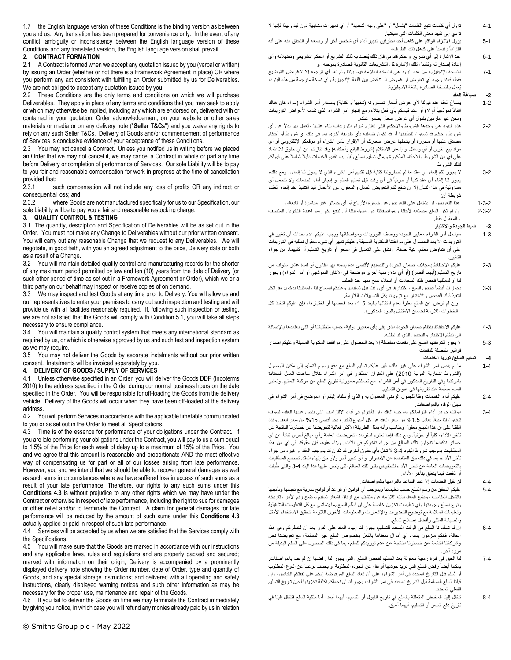1.7 the English language version of these Conditions is the binding version as between you and us. Any translation has been prepared for convenience only. In the event of any conflict, ambiguity or inconsistency between the English language version of these Conditions and any translated version, the English language version shall prevail.

# **2. CONTRACT FORMATION**

<span id="page-1-0"></span>2.1 A Contract is formed when we accept any quotation issued by you (verbal or written) by issuing an Order (whether or not there is a Framework Agreement in place) OR where you perform any act consistent with fulfilling an Order submitted by us for Deliverables. We are not obliged to accept any quotation issued by you.

2.2 These Conditions are the only terms and conditions on which we will purchase Deliverables. They apply in place of any terms and conditions that you may seek to apply or which may otherwise be implied, including any which are endorsed on, delivered with or contained in your quotation, Order acknowledgement, on your website or other sales materials or media or on any delivery note ("**Seller T&Cs**") and you waive any rights to rely on any such Seller T&Cs. Delivery of Goods and/or commencement of performance of Services is conclusive evidence of your acceptance of these Conditions.

2.3 You may not cancel a Contract. Unless you notified us in writing before we placed an Order that we may not cancel it, we may cancel a Contract in whole or part any time before Delivery or completion of performance of Services. Our sole Liability will be to pay to you fair and reasonable compensation for work-in-progress at the time of cancellation provided that:

2.3.1 such compensation will not include any loss of profits OR any indirect or consequential loss; and<br>2.3.2 where Good

where Goods are not manufactured specifically for us to our Specification, our sole Liability will be to pay you a fair and reasonable restocking charge.

# **3. QUALITY CONTROL & TESTING**

3.1 The quantity, description and Specification of Deliverables will be as set out in the Order. You must not make any Change to Deliverables without our prior written consent. You will carry out any reasonable Change that we request to any Deliverables. We will negotiate, in good faith, with you an agreed adjustment to the price, Delivery date or both as a result of a Change.

3.2 You will maintain detailed quality control and manufacturing records for the shorter of any maximum period permitted by law and ten (10) years from the date of Delivery (or such other period of time as set out in a Framework Agreement or Order), which we or a third party on our behalf may inspect or receive copies of on demand.

3.3 We may inspect and test Goods at any time prior to Delivery. You will allow us and our representatives to enter your premises to carry out such inspection and testing and will provide us with all facilities reasonably required. If, following such inspection or testing, we are not satisfied that the Goods will comply with Condition [5.1,](#page-2-0) you will take all steps necessary to ensure compliance.

3.4 You will maintain a quality control system that meets any international standard as required by us, or which is otherwise approved by us and such test and inspection system as we may require.

3.5 You may not deliver the Goods by separate instalments without our prior written consent. Instalments will be invoiced separately by you.

# <span id="page-1-1"></span>**4. DELIVERY OF GOODS / SUPPLY OF SERVICES**

4.1 Unless otherwise specified in an Order, you will deliver the Goods DDP (Incoterms 2010) to the address specified in the Order during our normal business hours on the date specified in the Order. You will be responsible for off-loading the Goods from the delivery vehicle. Delivery of the Goods will occur when they have been off-loaded at the delivery address.

4.2 You will perform Services in accordance with the applicable timetable communicated to you or as set out in the Order to meet all Specifications.

<span id="page-1-2"></span>4.3 Time is of the essence for performance of your obligations under the Contract. If you are late performing your obligations under the Contract, you will pay to us a sum equal to 1.5% of the Price for each week of delay up to a maximum of 15% of the Price. You and we agree that this amount is reasonable and proportionate AND the most effective way of compensating us for part or all of our losses arising from late performance. However, you and we intend that we should be able to recover general damages as well as such sums in circumstances where we have suffered loss in excess of such sums as a result of your late performance. Therefore, our rights to any such sums under this **Conditions [4.3](#page-1-2)** is without prejudice to any other rights which we may have under the Contract or otherwise in respect of late performance, including the right to sue for damages or other relief and/or to terminate the Contract. A claim for general damages for late performance will be reduced by the amount of such sums under this **Conditions [4.3](#page-1-2)** actually applied or paid in respect of such late performance.

4.4 Services will be accepted by us when we are satisfied that the Services comply with the Specifications.

4.5 You will make sure that the Goods are marked in accordance with our instructions and any applicable laws, rules and regulations and are properly packed and secured; marked with information on their origin; Delivery is accompanied by a prominently displayed delivery note showing the Order number, date of Order, type and quantity of Goods, and any special storage instructions; and delivered with all operating and safety instructions, clearly displayed warning notices and such other information as may be necessary for the proper use, maintenance and repair of the Goods.

4.6 If you fail to deliver the Goods on time we may terminate the Contract immediately by giving you notice, in which case you will refund any monies already paid by us in relation

- 5-1 يؤول االلتزام الواقع على كاهل أحد الطرفين لتدبير أداء أي شخص آخر أو وضعه أو التحقق منه على أنه التزاماً رئيسياً على كاهل ذلك الطرف،
- 6-1 عند اإلشارة إلى أي تشريع أو حكم قانوني فإن ذلك يُقصد به ذلك التشريع أو الحكم التشريعي وتعديالته وأي إعادة إصدار له وتشمل تلك الإشارة كل التشريعات الثانوية الصادرة بموجبه، و
- 7-1 النسخة اإلنجليزية من هذه البنود هي النسخة الملزمة فيما بيننا ولم نعد أي ترجمة إال ألغراض التوضيح فقط، فعند وجود أي تعارض أو غموض أو تناقض بين اللغة اإلنجليزية وأي نسخة مترجمة من هذه البنود، يُعمل بالنسخة الصادرة باللغة اإلنجليزية.

#### **-2 صياغة العقد**

- 1-2 يصاغ العقد عند قبولنا لأي عرض أسعار تصدرونه (شفهياً أو كتابة) بإصدار أمر الشراء (سواء كان هناك اتفاقاً نموذجياً أم لا) أو عند قيامكم بأي فعل يتلاءم مع إنجاز أمر الشراء الذي نقدمه لأغراض التوريدات ونحن غير ملزمين بقبول أي عرض أسعار يصدر عنكم.
- 2-2 هذه البنود هي وحدها الشروط واألحكام التي نعتزم شراء التوريدات بناء عليها ويُعمل بها بدالً عن أي شروط وأحكام قد تسعون لتطبيقها أو قد تكون ضمنية بأي طريقة أخرى بما في ذلك أي شروط أو أحكام مصدق عليها أو محررة أو يشملها عرض أسعاركم أو الإقرار بـأمر الشراء أو موقعكم الإلكترونـي أو أي مواد بيع أخرى أو أي وسائل أو إشعار الاستلام (شروط البائع وأحكامه) وقد تنازلتم عن أي حقوق للاعتماد على أي من الشروط واألحكام المذكورة ويمثل تسليم السلع و/أو بدء تقديم الخدمات دليالً شامالً على قبولكم لتلك الشروط.
- 3-2 ال يجوز لكم إلغاء أي عقد ما لم تخطروننا كتابة قبل تقديم أمر الشراء الذي ال يجوز لنا إلغاءه. ومع ذلك، يجوز لنا إلغاء أي عقد كلياً أو جزئياً في أي وقت قبل تسليم السلع أو إنجاز أداء الخدمات وال نتحمل أي مسؤولية في هذا الشأن إلا أن ندفع لكم التعويض العادل والمعقول عن الأعمال قيد التنفيذ عند إلغاء العقد، شريطة أن:
	- 1-3-2 هذا التعويض لن يشتمل على التعويض عن خسارة األرباح أو أي خسائر غير مباشرة أو تابعة، و
- 2-3-2 إن لم تكن السلع مصنعة ألجلنا وبمواصفاتنا فإن مسؤوليتنا أن ندفع لكم رسم إعادة التخزين المنصف والمعقول فقط.

### **-3 ضبط الجودة واالختبار**

- 1-3 سيشمل أمر الشراء معايير الجودة ووصف التوريدات ومواصفاتها ويجب عليكم عدم إحداث أي تغيير في التوريدات إال بعد الحصول على موافقتنا المكتوبة المسبقة وعليكم تغيير أي شيء معقول نطلبه في التوريدات على أن نتفاوض معكم، بنية حسنة، ونتفق على التعديل في السعر أو تاريخ التسليم أو كليهما، من جراء التغيير.
- 2-3 عليكم الاحتفاظ بسجلات ضمان الجودة والتصنيع لأقصى مدة يسمح بها القانون أو لمدة عشر سنوات من تاريخ التسليم (أيهما أقصر) (أو أي مدة زمنية أخرى موضحة في الاتفاق النموذجي أو أمر الشراء) ويجوز لنا أو لممثلينا فحص تلك السجالت أو استالم نسخ منها عند الطلب.
- 3-3 يجوز لنا أيضاً فحص السلع واختبارها في أي وقت قبل تسليمها وعليكم السماح لنا ولممثلينا بدخول مقراتكم لتنفيذ ذلك الفحص واالختبار مع تزويدنا بكل التسهيالت الالزمة. وإن لم نرض عن السلع نظراً لعدم امتثالها بالبند 5-1، بعد فحصها أو اختبارها، فإن عليكم اتخاذ كل الخطوات الالزمة لضمان االمتثال بالبنود المذكورة.
- 4-3 عليكم االحتفاظ بنظام ضمان الجودة الذي يفي بأي معايير دولية، حسب متطلباتنا أو التي نعتمدها باإلضافة إلى نظام االختبار والفحص الذي قد نطلبه.
- 5-3 ال يجوز لكم تقديم السلع على دفعات منفصلة إال بعد الحصول على موافقتنا المكتوبة المسبقة وعليكم إصدار فواتير منفصلة للدفعات.

**-4 تسليم السلع/ توريد الخدمات**

- 1-4 ما لم ينص أمر الشراء على غير ذلك، فإن عليكم تسليم السلع مع دفع رسوم التسليم إلى مكان الوصول )الشروط التجارية الدولية 2010( على العنوان المذكور في أمر الشراء خالل ساعات العمل المعتادة بشركتنا وفي التاريخ المذكور في أمر الشراء، مع تحملكم مسؤولية تفريغ السلع من مركبة التسليم. وتعتبر السلع مسلّمة عند تفريغها في عنوان التسليم.
- 2-4 عليكم أداء الخدمات وفقاً للجدول الزمني المعمول به والذي أرسلناه إليكم أو الموضح في أمر الشراء في سبيل الوفاء بالمواصفات.
- 3-4 الوقت جوهر أداء التزاماتكم بموجب العقد وإن تأخرتم في أداء االلتزامات التي ينص عليها العقد، فسوف تدفعون لنا مبلغاً يعادل 1.5% من سعر العقد عن كل أسبوع تأخير، بحد أقصىي 15% من سعر العقد. وقدد اتفقنا على أن هذا المبلغ معقول ومناسب وأنه يمثل الطريقة األكثر فعالية لتعويضنا عن خسائرنا الناتجة عن تأخر الأداء، كلياً أو جزئياً. ومع ذلك فابننا نعتزم استرداد التعويضات العامة وأي مبالغ أخرى تنشأ عن أي خسائر نتكبدها تتجاوز تلك المبالغ من جراء تأخركم في األداء. وبناء عليه، فإن حقوقنا في أي من هذه المطالبات بموجب شروط البنود 3-4 ال تخل بأي حقوق أخرى قد تكون لنا بموجب العقد أو غيره من جراء تأخر األداء، بما في ذلك حق المقاضاة عن األضرار أو أي تدبير آخر و/أو حق إنهاء العقد. تخضع المطالبات بالتعويضات العامة عن تأخر الأداء للتخفيض بقدر تلك المبالغ التي ينص عليها هذا البند 4-3 والتي طُبقت أو دُفعت فيما يتعلق بتأخر الأداء.
	- 4-4 لن نقبل الخدمات إال عند اقتناعنا بالتزامها بالمواصفات.
- 5-4 عليكم التحقق من وسم السلع حسب تعليماتنا وبموجب أي قوانين أو قواعد أو لوائح سارية مع تعبئتها وتأمينها بالشكل المناسب ووضع المعلومات الالزمة عن منشئها مع إرفاق إشعار تسليم يوضح رقم األمر وتاريخه .<br>ونوع السلع وجودتها وأي تعليمات تخزين خاصة على أن تُسلّم السلع بما يتماشى مع كل التعليمات التشغيلية وتعليمات السالمة مع توضيح التحذيرات واإلشعارات والمعلومات األخرى الالزمة لتحقيق االستخدام األمثل والصيانة المثلى وأفضل إصالح للسلع.
- 6-4 إن لم تسلمونا السلع في الوقت المحدد للتسليم، يجوز لنا إنهاء العقد على الفور بعد أن نُخطركم وفي هذه الحالة، فإنكم ملزمون بسداد أي أموال دفعناها بالفعل بخصوص السلع غير المسلمة، مع تعويضنا نحن وشركاتنا التابعة عن خسائرنا الناتجة عن عدم توريدكم للسلع، بما في ذلك الحصول على السلع البديلة من مورد آخر.
- 7-4 لنا الحق في فترة زمنية معقولة بعد التسليم لفحص السلع والتي يجوز لنا رفضها إن لم تف بالمواصفات. يمكننا أيضاً رفض السلع التي تزيد جودتها أو تقل عن الجودة المطلوبة أو يختلف نوعها عن النوع المطلوب أو تُسلم قبل التاريخ المحدد في أمر الشراء، على أن تعاد السلع المرفوضة إليكم على نفقتكم الخاص، وإن قبلنا السلع المسلمة قبل التاريخ المحدد في أمر الشراء، يجوز لنا أن نحملكم تكلفة تخزينها لحين تاريخ التسليم الفعلي المحدد.
- 8-4 تنتقل إلينا المخاطر المتعلقة بالسلع في تاريخ القبول أو التسليم، أيهما أبعد، أما ملكية السلع فتنتقل إلينا في تاريخ دفع السعر أو التسليم، أيهما أسبق.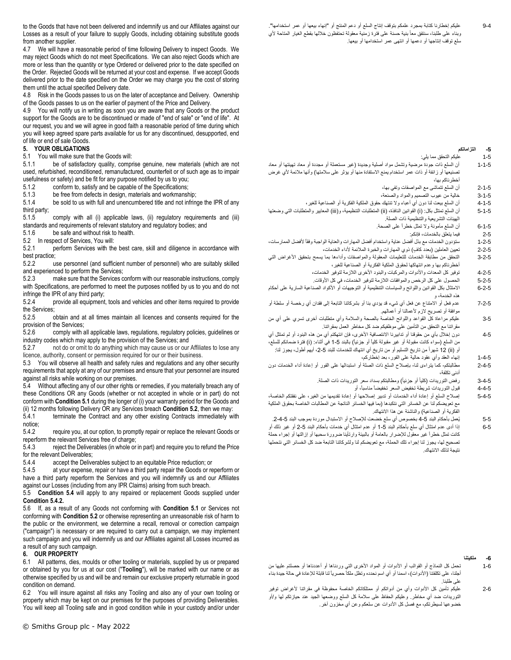to the Goods that have not been delivered and indemnify us and our Affiliates against our Losses as a result of your failure to supply Goods, including obtaining substitute goods from another supplier.

4.7 We will have a reasonable period of time following Delivery to inspect Goods. We may reject Goods which do not meet Specifications. We can also reject Goods which are more or less than the quantity or type Ordered or delivered prior to the date specified on the Order. Rejected Goods will be returned at your cost and expense. If we accept Goods delivered prior to the date specified on the Order we may charge you the cost of storing them until the actual specified Delivery date.

4.8 Risk in the Goods passes to us on the later of acceptance and Delivery. Ownership of the Goods passes to us on the earlier of payment of the Price and Delivery.

4.9 You will notify us in writing as soon you are aware that any Goods or the product support for the Goods are to be discontinued or made of "end of sale" or "end of life". At our request, you and we will agree in good faith a reasonable period of time during which you will keep agreed spare parts available for us for any discontinued, desupported, end of life or end of sale Goods.

#### **5. YOUR OBLIGATIONS**

<span id="page-2-0"></span>5.1 You will make sure that the Goods will:

5.1.1 be of satisfactory quality, comprise genuine, new materials (which are not used, refurbished, reconditioned, remanufactured, counterfeit or of such age as to impair usefulness or safety) and be fit for any purpose notified by us to you;

5.1.2 conform to, satisfy and be capable of the Specifications;

5.1.3 be free from defects in design, materials and workmanship;<br>5.1.4 be sold to us with full and unencumbered title and not infring

be sold to us with full and unencumbered title and not infringe the IPR of any third party;

5.1.5 comply with all (i) applicable laws, (ii) regulatory requirements and (iii) standards and requirements of relevant statutory and regulatory bodies; and 5.1.6 be safe and without risk to health. be safe and without risk to health.

<span id="page-2-1"></span>5.2 In respect of Services, You will:

5.2.1 perform Services with the best care, skill and diligence in accordance with best practice;

5.2.2 use personnel (and sufficient number of personnel) who are suitably skilled and experienced to perform the Services;

5.2.3 make sure that the Services conform with our reasonable instructions, comply with Specifications, are performed to meet the purposes notified by us to you and do not infringe the IPR of any third party;<br>5.2.4 provide all equipment

provide all equipment, tools and vehicles and other items required to provide the Services;

5.2.5 obtain and at all times maintain all licences and consents required for the provision of the Services;

5.2.6 comply with all applicable laws, regulations, regulatory policies, guidelines or industry codes which may apply to the provision of the Services; and

5.2.7 not do or omit to do anything which may cause us or our Affiliates to lose any licence, authority, consent or permission required for our or their business.

5.3 You will observe all health and safety rules and regulations and any other security requirements that apply at any of our premises and ensure that your personnel are insured against all risks while working on our premises.

<span id="page-2-2"></span>5.4 Without affecting any of our other rights or remedies, if you materially breach any of these Conditions OR any Goods (whether or not accepted in whole or in part) do not conform with **Conditio[n 5.1](#page-2-0)** during the longer of (i) your warranty period for the Goods and (ii) 12 months following Delivery OR any Services breach **Conditio[n 5.2](#page-2-1)**, then we may:

5.4.1 terminate the Contract and any other existing Contracts immediately with notice;<br>5.4.2

<span id="page-2-3"></span>require you, at our option, to promptly repair or replace the relevant Goods or reperform the relevant Services free of charge;

5.4.3 reject the Deliverables (in whole or in part) and require you to refund the Price for the relevant Deliverables;<br>5.4.4 accept the Delive

accept the Deliverables subject to an equitable Price reduction; or

5.4.5 at your expense, repair or have a third party repair the Goods or reperform or have a third party reperform the Services and you will indemnify us and our Affiliates against our Losses (including from any IPR Claims) arising from such breach.

5.5 **Condition [5.4](#page-2-2)** will apply to any repaired or replacement Goods supplied under **Conditio[n 5.4.2.](#page-2-3)**

5.6 If, as a result of any Goods not conforming with **Condition [5.1](#page-2-0)** or Services not conforming with **Conditio[n 5.2](#page-2-1)** or otherwise representing an unreasonable risk of harm to the public or the environment, we determine a recall, removal or correction campaign ("campaign") is necessary or are required to carry out a campaign, we may implement such campaign and you will indemnify us and our Affiliates against all Losses incurred as a result of any such campaign.

#### **6. OUR PROPERTY**

6.1 All patterns, dies, moulds or other tooling or materials, supplied by us or prepared or obtained by you for us at our cost ("**Tooling**"), will be marked with our name or as otherwise specified by us and will be and remain our exclusive property returnable in good condition on demand.

6.2 You will insure against all risks any Tooling and also any of your own tooling or property which may be kept on our premises for the purposes of providing Deliverables. You will keep all Tooling safe and in good condition while in your custody and/or under

#### **-5 التزاماتكم**

- 1-5 عليكم التحقق مما يلي:
- 1-1-5 أن السلع ذات جودة مرضية وتشمل مواد أصلية وجديدة )غير مستعملة أو مجددة أو معاد تهيئتها أو معاد تصنيعها أو زائفة أو ذات عمر استخدام يمنع الاستفادة منها أو يؤثر على سلامتها) وأنها ملائمة لأي غرض أخطرناكم بها،
	- 2-1-5 أن السلع تتماشى مع المواصفات وتفي بها،
	- 3-1-5 خالية من عيوب التصميم والمواد والصنعة،
- 4-1-5 أن السلع بيعت لنا دون أي أعباء وال تنتهك حقوق الملكية الفكرية أو الصناعية للغير، 5-1-5 أن السلع تمتثل بكل: (i) القوانين النافذة، (ii) المتطلبات التنظيمية، و(iii) المعايير والمتطلبات التي وضعتها الهيئات التشريعية والتنظيمية ذات الصلة.
	- 6-1-5 أن السلع مأمونة وال تمثل خطراً على الصحة.
		- 2-5 فيما يتعلق بالخدمات، فإنكم:
- 1-2-5 ستؤدون الخدمات مع بذل أفضل عناية واستخدام أفضل المهارات والعناية الواجبة وفقاً ألفضل الممارسات،
	- 2-2-5 تعيين العاملين (بعدد كاف) ذوي المهارات والخبرة الملائمة لأداء الخدمات،
- 3-2-5 التحقق من مطابقة الخدمات للتعليمات المعقولة والمواصفات وأداءها بما يسمح بتحقيق الأغراض التي أخطرناكم بها وعدم انتهاكها لحقوق الملكية الفكرية أو الصناعية للغير،
	- 4-2-5 توفير كل المعدات واألدوات والمركبات والبنود األخرى الالزمة لتوفير الخدمات،
	- 5-2-5 الحصول على كل الرخص والموافقات الالزمة لتوفير الخدمات، في كل األوقات.
- 6-2-5 االمتثال بكل القوانين واللوائح والسياسات التنظيمية أو التوجيهات أو األكواد الصناعية السارية على أحكام هذه الخدمة، و
- 7-2-5 عدم فعل أو االمتناع عن فعل أي شيء قد يؤدي بنا أو بشركاتنا التابعة إلى فقدان أي رخصة أو سلطة أو موافقة أو تصريح لازم لأعمالنا أو أعمالهم.
- 3-5 عليكم مراعاة كل القواعد واللوائح الخاصة بالصحة والسالمة وأي متطلبات أخرى تسري على أي من مقراتنا مع التحقق من التأمين على موظفيكم ضد كل مخاطر العمل بمقراتنا.
- 4-5 دون إخالل بأي من حقوقنا أو تدابيرنا االنتصافية األخرى، فإن انتهكتم أي من هذه البنود أو لم تمتثل أي من السلع (سواء كانت مقبولة أو غير مقبولة كلياً أو جزئياً) بالبند 5-1 في أثناء: (i) فترة ضمانكم للسلع، أو (ii) 12 شهراً من تاريخ التسليم أو من تاريخ أي انتهاك للخدمات للبند 5-2، أيهم أطول، يجوز لذا:
	- 1-4-5 إنهاء العقد وأي عقود حالية على الفور، بعد إخطاركم،
- 2-4-5 مطالبتكم- كما يتراءى لنا- بإصالح السلع ذات الصلة أو استبدالها على الفور أو إعادة أداء الخدمات دون أدنى تكلفة،
	- 3-4-5 رفض التوريدات (كلياً أو جزئياً) ومطالبتكم بسداد سعر التوريدات ذات الصلة.
		- 4-4-5 قبول التوريدات شريطة تخفيض السعر تخفيضاً مناسبا،ً أو
- 5-4-5 إصالح السلع أو إعادة أداء الخدمات أو تدبير إصالحها أو إعادة تقديمها من الغير، على نفقتكم الخاصة، مع تعويضكم لنا عن الخسائر التي نتكبدها (بما فيها الخسائر الناتجة عن المطالبات الخاصة بحقوق الملكية الفكرية أو الصناعية( والناشئة عن هذا االنتهاك.
- 5-5 يُعمل بأحكام البند 5-4 بخصوص أي سلع خضعت للإصلاح أو الاستبدال موردة بموجب البند 5-4-2.
- 6-5 إذا أدى عدم امتثال أي سلع بأحكام البند 5-1 أو عدم امتثال أي خدمات بأحكام البند 5-2 أو غير ذلك أو كانت تمثل خطراً غير معقول لإلضرار بالعامة أو بالبيئة وارتأينا ضرورة سحبها أو إزالتها أو إجراء حملة تصحيح لها، يجوز لنا إجراء تلك الحملة، مع تعويضكم لنا ولشركاتنا التابعة ضد كل الخسائر التي نتحملها نتيجة لذلك االنتهاك.

# **-6 ملكيتنا**

- 1-6 تحمل كل النماذج أو القوالب أو األدوات أو المواد األخرى التي وردناها أو أعددناها أو حصلتم عليها من أجلنا، على تكلفتنا (الأدوات)، اسمنا أو أي اسم نحدده وتظل ملكاً حصرياً لنا قابلة للإعادة في حالة جيدة بناء على طلبنا.
- 2-6 عليكم تأمين كل األدوات وأي من أدواتكم أو ممتلكاتكم الخاصة محفوظة في مقراتنا ألغراض توفير التوريدات ضد أي مخاطر. وعليكم الحفاظ على سالمة كل السلع ووضعها الجيد عند حيازتكم لها و/أو خضوعها لسيطرتكم، مع فصل كل الأدوات عن سلعكم وعن أي مخزون آخر ِ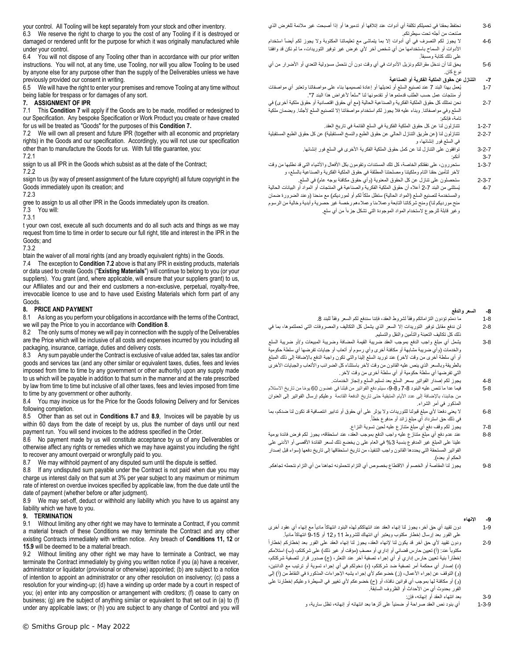your control. All Tooling will be kept separately from your stock and other inventory.

6.3 We reserve the right to charge to you the cost of any Tooling if it is destroyed or damaged or rendered unfit for the purpose for which it was originally manufactured while under your control.

6.4 You will not dispose of any Tooling other than in accordance with our prior written instructions. You will not, at any time, use Tooling, nor will you allow Tooling to be used by anyone else for any purpose other than the supply of the Deliverables unless we have previously provided our consent in writing.

6.5 We will have the right to enter your premises and remove Tooling at any time without being liable for trespass or for damages of any sort.

### <span id="page-3-0"></span>**7. ASSIGNMENT OF IPR**

7.1 This **Conditio[n 7](#page-3-0)** will apply if the Goods are to be made, modified or redesigned to our Specification. Any bespoke Specification or Work Product you create or have created for us will be treated as "Goods" for the purposes of this **Condition [7.](#page-3-0)**

<span id="page-3-1"></span>7.2 We will own all present and future IPR (together with all economic and proprietary rights) in the Goods and our specification. Accordingly, you will not use our specification other than to manufacture the Goods for us. With full title guarantee, you: 7.2.1 a

ssign to us all IPR in the Goods which subsist as at the date of the Contract;

ssign to us (by way of present assignment of the future copyright) all future copyright in the Goods immediately upon its creation; and

gree to assign to us all other IPR in the Goods immediately upon its creation.

7.3 You will:

t your own cost, execute all such documents and do all such acts and things as we may request from time to time in order to secure our full right, title and interest in the IPR in the Goods; and

7.3.2 o

btain the waiver of all moral rights (and any broadly equivalent rights) in the Goods.

7.4 The exception to **Condition [7.2](#page-3-1)** above is that any IPR in existing products, materials or data used to create Goods ("**Existing Materials**") will continue to belong to you (or your suppliers). You grant (and, where applicable, will ensure that your suppliers grant) to us, our Affiliates and our and their end customers a non-exclusive, perpetual, royalty-free, irrevocable licence to use and to have used Existing Materials which form part of any Goods.

# <span id="page-3-2"></span>**8. PRICE AND PAYMENT**

8.1 As long as you perform your obligations in accordance with the terms of the Contract, we will pay the Price to you in accordance with **Conditio[n 8](#page-3-2)**.

8.2 The only sums of money we will pay in connection with the supply of the Deliverables are the Price which will be inclusive of all costs and expenses incurred by you including all packaging, insurance, carriage, duties and delivery costs.

8.3 Any sum payable under the Contract is exclusive of value added tax, sales tax and/or goods and services tax (and any other similar or equivalent taxes, duties, fees and levies imposed from time to time by any government or other authority) upon any supply made to us which will be payable in addition to that sum in the manner and at the rate prescribed by law from time to time but inclusive of all other taxes, fees and levies imposed from time to time by any government or other authority.

8.4 You may invoice us for the Price for the Goods following Delivery and for Services following completion.

8.5 Other than as set out in **Condition[s 8.7](#page-3-3)** and **[8.9](#page-3-4)**, Invoices will be payable by us within 60 days from the date of receipt by us, plus the number of days until our next payment run. You will send invoices to the address specified in the Order.

8.6 No payment made by us will constitute acceptance by us of any Deliverables or otherwise affect any rights or remedies which we may have against you including the right to recover any amount overpaid or wrongfully paid to you.

<span id="page-3-3"></span>8.7 We may withhold payment of any disputed sum until the dispute is settled.

8.8 If any undisputed sum payable under the Contract is not paid when due you may charge us interest daily on that sum at 3% per year subject to any maximum or minimum rate of interest on overdue invoices specified by applicable law, from the due date until the date of payment (whether before or after judgment).

<span id="page-3-4"></span>8.9 We may set-off, deduct or withhold any liability which you have to us against any liability which we have to you.

# **9. TERMINATION**

9.1 Without limiting any other right we may have to terminate a Contract, if you commit a material breach of these Conditions we may terminate the Contract and any other existing Contracts immediately with written notice. Any breach of **Conditions 11, 12** or **[15.9](#page-5-0)** will be deemed to be a material breach.

9.2 Without limiting any other right we may have to terminate a Contract, we may terminate the Contract immediately by giving you written notice if you (a) have a receiver, administrator or liquidator (provisional or otherwise) appointed; (b) are subject to a notice of intention to appoint an administrator or any other resolution on insolvency; (c) pass a resolution for your winding-up; (d) have a winding up order made by a court in respect of you; (e) enter into any composition or arrangement with creditors; (f) cease to carry on business; (g) are the subject of anything similar or equivalent to that set out in (a) to (f) under any applicable laws; or (h) you are subject to any change of Control and you will

- 3-6 نحتفظ بحقنا في تحميلكم تكلفة أي أدوات عند إتالفها أو تدميرها أو إذا أصبحت غير مالئمة للغرض الذي ُصنعت من أجله تحت سيطرتكم.
- 4-6 ال يجوز لكم التصرف في أي أدوات إال بما يتماشى مع تعليماتنا المكتوبة وال يجوز لكم أيضاً استخدام األدوات أو السماح باستخدامها من أي شخص آخر ألي غرض غير توفير التوريدات، ما لم نكن قد وافقنا على ذلك كتابة ومسبقا.ً
- 5-6 يحق لنا أن ندخل مقراتكم ونزيل الأدوات في أي وقت دون أن نتحمل مسؤولية التعدي أو الأضرار من أي نوع كان.

# **-7 التنازل عن حقوق الملكية الفكرية أو الصناعية**

- 1-7 يُعمل بهذا البند 7 عند تصنيع السلع أو تعديلها أو إعادة تصميمها بناء على مواصفاتنا وتعتبر أي مواصفات أو منتجات عمل حسب الطلب قدمتموها أو تقدمونها لنا "سلعاً لأغراض هذا البند 7".
- 2-7 نحن نمتلك كل حقوق الملكية الفكرية والصناعية الحالية (مع أي حقوق اقتصادية أو حقوق ملكية أخرى) في السلع وفي مواصفاتنا. وبناء عليه فال يجوز لكم استخدام مواصفاتنا إال لتصنيع السلع ألجلنا. وبضمان ملكية تامة، فإنكم:
	- 1-2-7 تتنازلون لنا عن كل حقوق الملكية الفكرية في السلع القائمة في تاريخ العقد.
- 2-2-7 تتنازلون لنا )عن طريق التنازل الحالي عن حقوق الطبع والنسخ المستقبلية( عن كل حقوق الطبع المستقبلية في السلع فور إنشائها، و
	- 3-2-7 توافقون على التنازل لنا عن كمل حقوق الملكية الفكرية األخرى في السلع فور إنشائها.
		- 3-7 أنكم:
- 7.2.2 a آلخر لتأمين حقنا التام وملكيتنا ومصلحتنا المطلقة في حقوق الملكية الفكرية والصناعية بالسلع، و 1-3-7 ستحررون، على نفقتكم الخاصة، كل تلك المستندات وتقومون بكل األفعال واألشياء التي قد نطلبها من وقت
	- 2-3-7 ستحصلون على تنازل عن كل الحقوق المعنوية (وأي حقوق مكافئة بوجه عام) في السلع.
- 7.2.3 a والمستخدمة لتصنيع السلع )المواد الحالية( ستظل ملكاً لكم أو لمورديكم( مع منحنا )وعند الضرورة ضمان 7.3.1 and 200 and 200 and 200 and 200 and 200 and 200 and 200 and 200 and 200 and 200 and 200 and 200 and 200 4-7 يُستثنى من البند 2-7 أعاله أن حقوق الملكية الفكرية والصناعية في المنتجات أو المواد أو البيانات الحالية منح مورديكم لنا) ومنح شركاتنا التابعة وعملاءنا وعملاءهم رخصة غير حصرية وأبدية وخالية من الرسوم وغير قابلة للرجوع الستخدام المواد الموجودة التي تشكل جزءاً من أي سلع.

### **-8 السعر والدفع**

- 1-8 ما دمتم تؤدون التزاماتكم وفقاً لشروط العقد، فإننا سندفع لكم السعر وفقاً للبند .8
- 2-8 لن ندفع مقابل توفير التوريدات إال السعر الذي يشمل كل التكاليف والمصروفات التي تحملتموها، بما في ذلك كل تكاليف التعبئة والتأمين والنقل والتسليم.
- 3-8 يشمل أي مبلغ واجب الدفع بموجب العقد ضريبة القيمة المضافة وضريبة المبيعات و/أو ضريبة السلع والخدمات )وأي ضريبة مشابهة أو مكافئة أخرى وأي رسوم أو أتعاب أو جبايات تفرضها أي سلطة حكومية أو أي سلطة أخرى من وقت آلخر( عند توريد السلع إلينا والتي تكون واجبة الدفع باإلضافة إلى ذلك المبلغ بالطريقة وبالسعر الذي ينص عليه القانون من وقت آلخر باستثناء كل الضرائب واألتعاب والجبايات األخرى التي تفرضها أي سلطة حكومية أو أي سلطة أخرى من وقت آلخر.
	- 4-8 يجوز لكم إصدار الفواتير بسعر السلع بعد تسليم السلع وإنجاز الخدمات.
- 8-5 فيما عدا ما تنص عليه البنود 8-7 و 8-9، سيتم دفع الفواتير من قبلنا في غضون 60 يومًا من تاريخ الاستلام من جانبنا، باإلضافة إلى عدد األيام المتبقية حتى تاريخ الدفعة القادمة وعليكم إرسال الفواتير إلى العنوان المذكور في أمر الشراء.
- 6-8 ال يعني دفعنا ألي مبلغ قبولنا للتوريدات وال يؤثر على أي حقوق أو تدابير انتصافية قد تكون لنا ضدكم، بما . في ذلك حق استرداد أي مبلغ زائد أو مدفوع خطأ ً
	- 7-8 يجوز لكم وقف دفع أي مبلغ متنازع عليه لحين تسوية النزاع.
- 8-8 عند عدم دفع أي مبلغ متنازع عليه واجب الدفع بموجب العقد، عند استحقاقه، يجوز لكم فرض فائدة يومية علينا على المبلغ غير المدفوع بنسبة 3% في العام على ن يخضع ذلك لسعر الفائدة الأقصى أو الأدنى على الفواتير المستحقة التي يحددها القانون واجب التنفيذ، من تاريخ استحقاقها إلى تاريخ دفعها )سواء قبل إصدار الحكم أو بعده).
- 9-8 يجوز لنا المقاصة أو الخصم أو االقتطاع بخصوص أي التزام تتحملونه تجاهنا من أي التزام نتحمله تجاهكم.

# **-9 اإلنهاء**

- 1-9 دون تقييد أي حق آخر، يجوز لنا إنهاء العقد عند انتهاككم لهذه البنود انتهاكاً مادياً مع إنهاء أي عقود أخرى على الفور بعد إرسال إخطار مكتوب ويعتبر أي انتهاك للشروط 11 و 12 أو -15 9 انتهاكاً ماديا.ً
- 2-9 ودون تقييد ألي حق آخر قد يكون لنا إلنهاء العقد، يجوز لنا إنهاء العقد على الفور بعد إخطاركم إخطاراً مكتوباً عند: (أ) تعيين حارس قضائى أو إداري أو مصفٍ (مؤقت أو غير ذلك) على شركتكم، (ب) استلامكم إخطاراً بنية تعيين حارس إداري أو أي إجراء تصفية آخر عند التعثر، )ج( صدور قرار لتصفية شركتكم، (د) إصدار أي محكمة أمر تصفية ضد شركتكم، (ه) دخولكم في أي إجراء تسوية أو ترتيب مع الدائنين، )<br>(و) التوقف عن إجراء الأعمال، (ز) خضوعكم لأي إجراء يشبه الإجراءات المذكورة في النقاط من (أ) إلى (و) أو مكافئة لها بموجب أي قوانين نافذة، أو (ح) خضوعكم لأي تغيير في السيطرة وعليكم إخطارنا على الفور بحدوث أي من األحداث أو الظروف السابقة.
	- 3-9 بعد انتهاء العقد أو إنهائه، فإن:
	- 1-3-9 أي بنود نص العقد صراحة أو ضمنياً على أثرها بعد انتهائه أو إنهائه، تظل سارية، و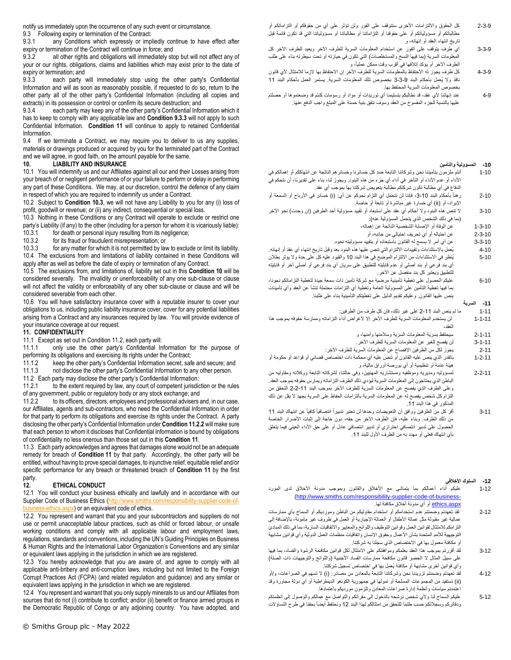notify us immediately upon the occurrence of any such event or circumstance.

9.3 Following expiry or termination of the Contract:<br>9.3.1 any Conditions which expressly or imp

any Conditions which expressly or impliedly continue to have effect after expiry or termination of the Contract will continue in force; and

9.3.2 all other rights and obligations will immediately stop but will not affect any of your or our rights, obligations, claims and liabilities which may exist prior to the date of expiry or termination; and

<span id="page-4-1"></span>9.3.3 each party will immediately stop using the other party's Confidential Information and will as soon as reasonably possible, if requested to do so, return to the other party all of the other party's Confidential Information (including all copies and extracts) in its possession or control or confirm its secure destruction; and

9.3.4 each party may keep any of the other party's Confidential Information which it has to keep to comply with any applicable law and **Condition [9.3.3](#page-4-1)** will not apply to such Confidential Information. **Condition [11](#page-4-0)** will continue to apply to retained Confidential Information.

9.4 If we terminate a Contract, we may require you to deliver to us any supplies, materials or drawings produced or acquired by you for the terminated part of the Contract and we will agree, in good faith, on the amount payable for the same.

### <span id="page-4-3"></span>**10. LIABILITY AND INSURANCE**

10.1 You will indemnify us and our Affiliates against all our and their Losses arising from your breach of or negligent performance of or your failure to perform or delay in performing any part of these Conditions. We may, at our discretion, control the defence of any claim in respect of which you are required to indemnify us under a Contract.

10.2 Subject to **Conditio[n 10.3](#page-4-2)**, we will not have any Liability to you for any (i) loss of profit, goodwill or revenue; or (ii) any indirect, consequential or special loss.

<span id="page-4-2"></span>10.3 Nothing in these Conditions or any Contract will operate to exclude or restrict one party's Liability (if any) to the other (including for a person for whom it is vicariously liable):<br>10.3.1 for death or personal injury resulting from its negligence;

for death or personal injury resulting from its negligence;

10.3.2 for its fraud or fraudulent misrepresentation; or

10.3.3 for any matter for which it is not permitted by law to exclude or limit its liability. 10.4 The exclusions from and limitations of liability contained in these Conditions will apply after as well as before the date of expiry or termination of any Contract.

10.5 The exclusions from, and limitations of, liability set out in this **Condition [10](#page-4-3)** will be considered severally. The invalidity or unenforceability of any one sub-clause or clause will not affect the validity or enforceability of any other sub-clause or clause and will be considered severable from each other.

10.6 You will have satisfactory insurance cover with a reputable insurer to cover your obligations to us, including public liability insurance cover, cover for any potential liabilities arising from a Contract and any insurances required by law. You will provide evidence of your insurance coverage at our request.

### <span id="page-4-0"></span>**11. CONFIDENTIALITY**

11.1 Except as set out in Conditio[n 11.2,](#page-4-4) each party will:

11.1.1 only use the other party's Confidential Information for the purpose of performing its obligations and exercising its rights under the Contract;

11.1.2 keep the other party's Confidential Information secret, safe and secure; and 11.1.3 not disclose the other party's Confidential Information to any other person.

<span id="page-4-4"></span>11.2 Each party may disclose the other party's Confidential Information:<br>11.2.1 to the extent required by law any court of competent jurisdic to the extent required by law, any court of competent jurisdiction or the rules of any government, public or regulatory body or any stock exchange; and

<span id="page-4-5"></span>11.2.2 to its officers, directors, employees and professional advisers and, in our case, our Affiliates, agents and sub-contractors, who need the Confidential Information in order for that party to perform its obligations and exercise its rights under the Contract. A party disclosing the other party's Confidential Information under **Conditio[n 11.2.2](#page-4-5)** will make sure that each person to whom it discloses that Confidential Information is bound by obligations of confidentiality no less onerous than those set out in this **Conditio[n 11](#page-4-0)**.

11.3 Each party acknowledges and agrees that damages alone would not be an adequate remedy for breach of **Condition [11](#page-4-0)** by that party. Accordingly, the other party will be entitled, without having to prove special damages, to injunctive relief, equitable relief and/or specific performance for any breach or threatened breach of **Condition [11](#page-4-0)** by the first party.<br>12

# <span id="page-4-6"></span>**12. ETHICAL CONDUCT**

12.1 You will conduct your business ethically and lawfully and in accordance with our Supplier Code of Business Ethics [\(http://www.smiths.com/responsibility-supplier-code-of](http://www.smiths.com/responsibility-supplier-code-of-business-ethics.aspx)hess-ethics.aspx) or an equivalent code of ethics.

12.2 You represent and warrant that you and your subcontractors and suppliers do not use or permit unacceptable labour practices, such as child or forced labour, or unsafe working conditions and comply with all applicable labour and employment laws, regulations, standards and conventions, including the UN's Guiding Principles on Business & Human Rights and the International Labor Organization's Conventions and any similar or equivalent laws applying in the jurisdiction in which we are registered.

12.3 You hereby acknowledge that you are aware of, and agree to comply with all applicable anti-bribery and anti-corruption laws, including but not limited to the Foreign Corrupt Practices Act (FCPA) (and related regulation and guidance) and any similar or equivalent laws applying in the jurisdiction in which we are registered.

12.4 You represent and warrant that you only supply minerals to us and our Affiliates from sources that do not (i) contribute to conflict; and/or (ii) benefit or finance armed groups in the Democratic Republic of Congo or any adjoining country. You have adopted, and

- 2-3-9 كل الحقوق وااللتزامات األخرى ستتوقف على الفور ولن تؤثر على أي من حقوقكم أو التزاماتكم أو مطالباتكم أو مسؤولياتكم أو على حقوقنا أو التزاماتنا أو مطالباتنا أو مسؤولياتنا التي قد تكون قائمة قبل تاريخ انتهاء العقد أو إنهائه، و
- 3-3-9 أي طرف يتوقف على الفور عن استخدام المعلومات السرية للطرف اآلخر ويعيد للطرف اآلخر كل المعلومات السرية (بما فيها النسخ والمستخلصات) التي تكون في حيازته أو تحت سيطرته بناء على طلب الطرف الأخر أو يؤكد إتلافها في أقرب وقت ممكن عملياً، و
- 4-3-9 كل طرف يجوز له االحتفاظ بالمعلومات السرية للطرف اآلخر إن االحتفاظ بها الزما لالمتثال ألي قانون نافذ ولا يُعمل بأحكام البند 9-3-3 بخصوص تلك المعلومات السرية. يستمر العمل بأحكام البند 11 بخصوص المعلومات السرية المحتفظ بها.
- 4-9 عند إنهائنا ألي عقد، قد نطالبكم بتسليمنا أي توريدات أو مواد أو رسومات كنتم قد وضعتموها أو حصلتم عليها بالنسبة للجزء المفسوخ من العقد وسوف نتفق بنية حسنة على المبلغ واجب الدفع عنها.

#### **-10 المسؤولية والتأمين**

- 1-10 أنتم ملزمون بتأميننا نحن وشركاتنا التابعة ضد كل خسائرنا وخسائرهم الناتجة عن انتهاككم أو إهمالكم في الأداء أو عدم الأداء أو التأخر في أداء أي جزء من هذه البنود. ويجوز لنا، بناء على تقديرنا، أن نتحكم في الدفاع في أي مطالبة تكون شركتكم مطالبة بتعويض شركتنا بها بموجب أي عقد.
- 2-10 رهناً بأحكام البند 10-3، فإننا لن نتحمل أي التزام نحوكم عن أي: (i) خسائر في الأرباح أو السمعة أو اإليراد، أو )ii )أي خسارة غير مباشرة أو تابعة أو خاصة.
- 3-10 الا تنص هذه البنود ولا أحكام أي عقد على استبعاد أو تقييد مسؤولية أحد الطرفين (إن وجدت) نحو الآخر )بما في ذلك الشخص الذي يتحمل المسؤولية عنه(:
	- 1-3-10 عن الوفاة أو اإلصابة الشخصية الناتجة عن إهماله،
		- 2-3-10 عن احتياله أو أي تحريف احتيالي من جانبه، أو
	- 3-3-10 عن أي أمر ال يسمح له القانون باستبعاده أو بتقييد مسؤوليته نحوه.
- 4-10 يُعمل باالستثناءات وتقييدات االلتزام التي تنص عليها هذه البنود بعد وقبل تاريخ انتهاء أي عقد أو إنهائه. 5-10 يُنظر في االستثناءات من االلتزام الموضح في هذا البند 10 والقيود عليه كل على حدة وال يؤثر بطالن أي بند فرعي أو بند أصلي أو عدم قابليته للتطبيق على سريان أي بند فرعي أو أصلي آخر أو قابليته للتطبيق ويعتبر كل بند منفصل عن اآلخر.
- 6-10 عليكم الحصول على تغطية تأمينية مرضية مع شركة تأمين ذات سمعة جيدة لتغطية التزاماتكم نحونا، بما فيها تغطية التأمين على المسؤولية العامة وتغطية أي التزامات محتملة تنشأ عن العقد وأي تأمينات ينص عليها القانون. وعليكم تقديم الدليل على تغطيتكم التأمينية بناء على طلبنا.
	- **-11 السرية**
	- 1-11 ما لم ينص البند -11 2 على غير ذلك، فإن كل طرف من الطرفين:
- 1-1-11 لن يستخدم المعلومات السرية للطرف اآلخر إال ألغراض أداء التزاماته وممارسة حقوقه بموجب هذا العقد،
	- 2-1-11 سيحتفظ بسرية المعلومات السرية وسالمتها وأمنها، و
	- 3-1-11 لن يفصح للغير عن المعلومات السرية للطرف اآلخر. 2-11 يجوز لكل من الطرفين اإلفصاح عن المعلومات السرية للطرف اآلخر:
- 1-2-11 بالقدر الذي ينص عليه القانون أو تنص عليه أي محكمة ذات اختصاص قضائي أو قواعد أو حكومة أو
- هيئة عامة أو تنظيمية أو أي بورصة أوراق مالية، و
- 2-2-11 لمسؤوليه ومديريه وموظفيه ومستشاريه المهنيين، وفي حالتنا، لشركاته التابعة ووكالئه ومقاوليه من الباطن الذي يحتاجون إلى المعلومات السرية ليؤدي ذلك الطرف التزاماته ويمارس حقوقه بموجب العقد. وعلى الطرف الذي يفصح عن المعلومات السرية للطرف اآلخر بموجب البند -11 2-2 التحقق من التزام كل شخص يفصح له عن المعلومات السرية بالتزامات الحفاظ على السرية بجهد ال يقل عن ذلك المذكور في هذا البند 11.
- 3-11 أقر كل من الطرفين ووافق أن التعويضات وحدها لن تعتبر تدبيراً انتصافياً كافياً عن انتهاك البند 11 من<br>من ذلك الطرف. وبناء عليه، فإن الطرف الأخر من حقه، دون حاجة إلى إثبات الأضرار الخاصة الحصول على تدبير انتصافي احترازي أو تدبير انتصافي عادل أو على حق األداء العيني فيما يتعلق بأي انتهاك فعلي أو مهدد به من الطرف األول للبند .11

# **-12 السلوك األخالقي**

- 1-12 عليكم أداء أعمالكم بما يتماشى مع الأخلاق والقانون وبموجب مدونة الأخلاق لدى المورد [\(http://www.smiths.com/responsibility-supplier-code-of-business](http://www.smiths.com/responsibility-supplier-code-of-business-ethics.aspx) ethics.aspx أو أي مدونة أخلاق مكافئة لها.
- 2-12 لقد تعهدتم وضمنتم عدم استخدامكم أو استخدام مقاوليكم من الباطن ومورديكم أو السماح بأي ممارسات عمالية غير مقبولة مثل عمالة األطفال أو العمالة اإلجبارية أو العمل في ظروف غير مأمونة، باإلضافة إلى التزامكم لالمتثال لقوانين العمل وقوانين التوظيف واللوائح والمعايير واالتفاقيات السارية، بما في ذلك المبادئ التوجيهية للأمم المتحدة بشأن الأعمال وحقوق الإنسان واتفاقيات منظمات العمل الدولية وأي قوانين مشابهة أو مكافئة معمول بها في االختصاص الذي سجلنا به شركتنا.
- 3-12 لقد أقررتم بموجب هذا العقد بعلمكم وموافقتكم على االمتثال لكل قوانين مكافحة الرشوة والفساد، بما فيها على سبيل المثال لا الحصر قانون مكافحة ممارسات الفساد الأجنبية (واللوائح والتوجيهات ذات الصلة) وأي قوانين أخرى مشابهة أو مكافئة يُعمل بها في اختصاص تسجيل شركتنا.
- 4-12 لقد تعهدتم وضمنتم تزويدنا نحن وشركاتنا التابعة بالمعادن من مصادر: )i )ال تسهم في الصراعات، و/أو )ii )تستفيد من المجموعات المسلحة أو تمولها في جمهورية الكونغو الديمقراطية أو أي دولة مجاورة وقد اعتمدتم سياسات وأنظمة إدارة صراعات المعادن وتلزمون مورديكم باعتمادها.
- 5-12 عليكم السماح لنا وألي شخص نرشحه بالدخول إلى مقراتكم والتواصل مع عمالكم والوصول إلى أنظمتكم ودفاتركم وسجالتكم حسب طلبنا للتحقق من امتثالكم لهذا البند 12 ونحتفظ أيضاً بحقنا في طرح التساؤالت